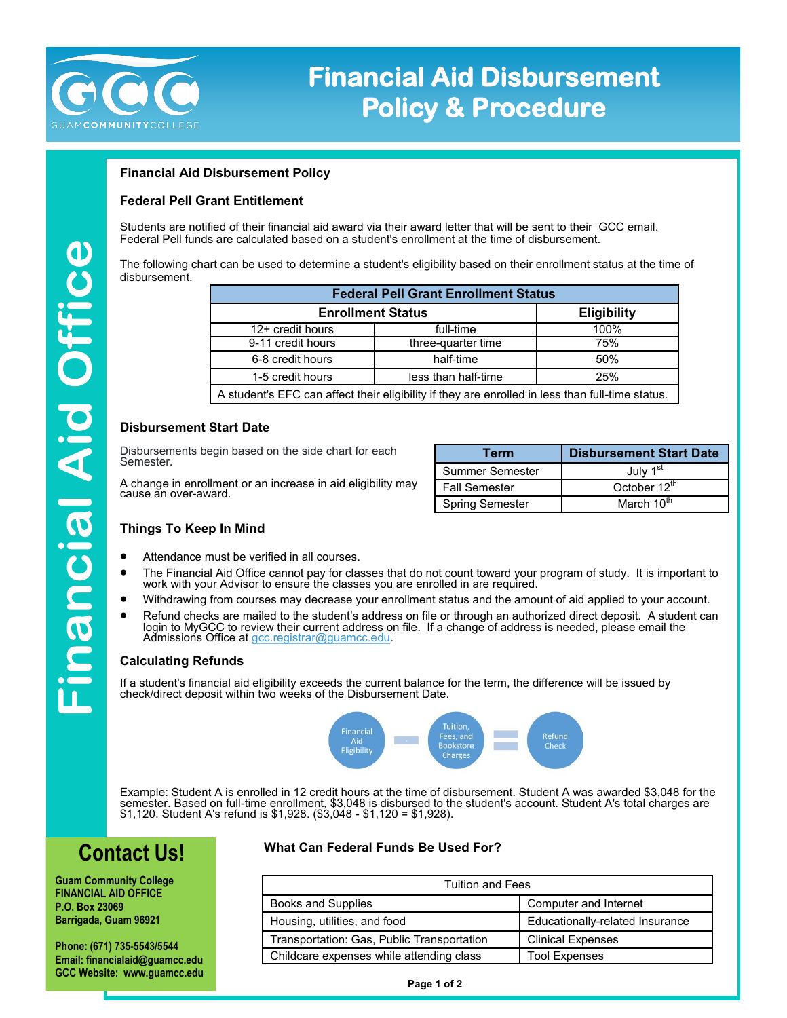

# **Financial Aid Disbursement Policy & Procedure**

# **Financial Aid Disbursement Policy**

## **Federal Pell Grant Entitlement**

Students are notified of their financial aid award via their award letter that will be sent to their GCC email. Federal Pell funds are calculated based on a student's enrollment at the time of disbursement.

The following chart can be used to determine a student's eligibility based on their enrollment status at the time of disbursement.

| <b>Federal Pell Grant Enrollment Status</b>                                                      |                     |                    |  |
|--------------------------------------------------------------------------------------------------|---------------------|--------------------|--|
| <b>Enrollment Status</b>                                                                         |                     | <b>Eligibility</b> |  |
| 12+ credit hours                                                                                 | full-time           | 100%               |  |
| 9-11 credit hours                                                                                | three-quarter time  | 75%                |  |
| 6-8 credit hours                                                                                 | half-time           | 50%                |  |
| 1-5 credit hours                                                                                 | less than half-time | 25%                |  |
| A student's EFC can affect their eligibility if they are enrolled in less than full-time status. |                     |                    |  |

### **Disbursement Start Date**

Disbursements begin based on the side chart for each Semester.

A change in enrollment or an increase in aid eligibility may cause an over-award.

| Term                   | <b>Disbursement Start Date</b> |
|------------------------|--------------------------------|
| Summer Semester        | July 1 <sup>st</sup>           |
| <b>Fall Semester</b>   | October 12 <sup>th</sup>       |
| <b>Spring Semester</b> | March 10th                     |

### **Things To Keep In Mind**

- Attendance must be verified in all courses.
- The Financial Aid Office cannot pay for classes that do not count toward your program of study. It is important to work with your Advisor to ensure the classes you are enrolled in are required.
- Withdrawing from courses may decrease your enrollment status and the amount of aid applied to your account.
- Refund checks are mailed to the student's address on file or through an authorized direct deposit. A student can login to MyGCC to review their current address on file. If a change of address is needed, please email the Admissions Office at [gcc.registrar@guamcc.edu.](mailto:gcc.registrar@guamcc.edu)

### **Calculating Refunds**

If a student's financial aid eligibility exceeds the current balance for the term, the difference will be issued by check/direct deposit within two weeks of the Disbursement Date.



Example: Student A is enrolled in 12 credit hours at the time of disbursement. Student A was awarded \$3,048 for the semester. Based on full-time enrollment, \$3,048 is disbursed to the student's account. Student A's total charges are \$1,120. Student A's refund is \$1,928. (\$3,048 - \$1,120 = \$1,928).

# **Contact Us!**

**Guam Community College FINANCIAL AID OFFICE P.O. Box 23069 Barrigada, Guam 96921**

**Phone: (671) 735-5543/5544 Email: financialaid@guamcc.edu GCC Website: www.guamcc.edu**

## **What Can Federal Funds Be Used For?**

| Tuition and Fees                           |                                 |  |
|--------------------------------------------|---------------------------------|--|
| <b>Books and Supplies</b>                  | Computer and Internet           |  |
| Housing, utilities, and food               | Educationally-related Insurance |  |
| Transportation: Gas, Public Transportation | <b>Clinical Expenses</b>        |  |
| Childcare expenses while attending class   | <b>Tool Expenses</b>            |  |

**Page 1 of 2**